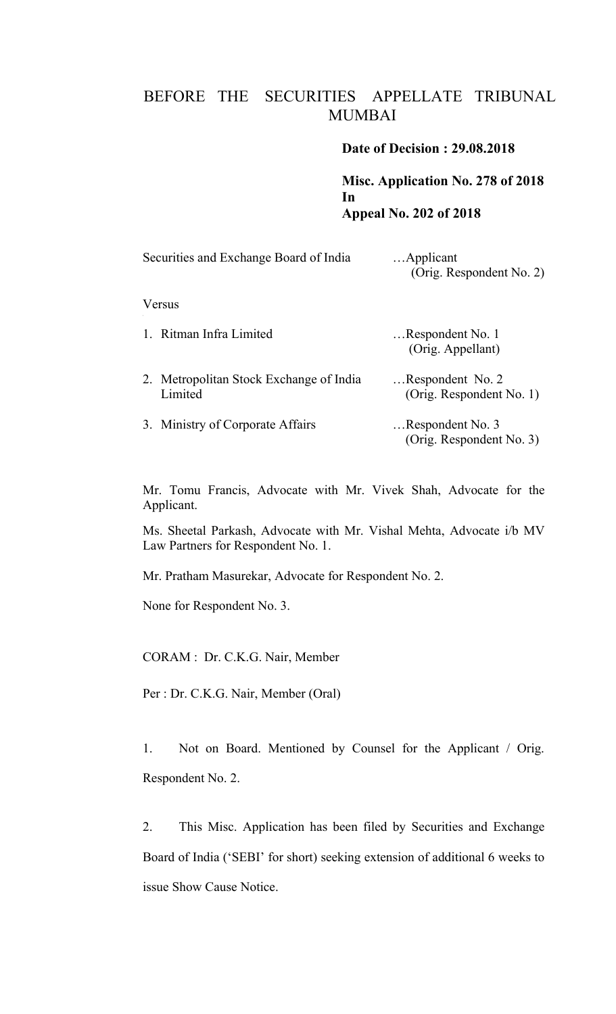## BEFORE THE SECURITIES APPELLATE TRIBUNAL MUMBAI

## **Date of Decision : 29.08.2018**

**Misc. Application No. 278 of 2018 In Appeal No. 202 of 2018**

| Securities and Exchange Board of India             | Applicant<br>(Orig. Respondent No. 2)        |
|----------------------------------------------------|----------------------------------------------|
| Versus                                             |                                              |
| 1. Ritman Infra Limited                            | Respondent No. 1<br>(Orig. Appellant)        |
| 2. Metropolitan Stock Exchange of India<br>Limited | Respondent No. 2<br>(Orig. Respondent No. 1) |
| 3. Ministry of Corporate Affairs                   | Respondent No. 3<br>(Orig. Respondent No. 3) |

Mr. Tomu Francis, Advocate with Mr. Vivek Shah, Advocate for the Applicant.

Ms. Sheetal Parkash, Advocate with Mr. Vishal Mehta, Advocate i/b MV Law Partners for Respondent No. 1.

Mr. Pratham Masurekar, Advocate for Respondent No. 2.

None for Respondent No. 3.

CORAM : Dr. C.K.G. Nair, Member

Per : Dr. C.K.G. Nair, Member (Oral)

1. Not on Board. Mentioned by Counsel for the Applicant / Orig. Respondent No. 2.

2. This Misc. Application has been filed by Securities and Exchange Board of India ('SEBI' for short) seeking extension of additional 6 weeks to issue Show Cause Notice.